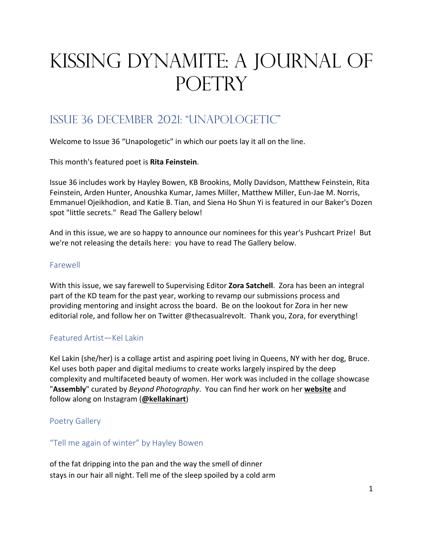# Kissing Dynamite: A Journal of POETRY

## Issue 36 December 2021: "unapologetic"

Welcome to Issue 36 "Unapologetic" in which our poets lay it all on the line.

This month's featured poet is **Rita Feinstein**.

Issue 36 includes work by Hayley Bowen, KB Brookins, Molly Davidson, Matthew Feinstein, Rita Feinstein, Arden Hunter, Anoushka Kumar, James Miller, Matthew Miller, Eun-Jae M. Norris, Emmanuel Ojeikhodion, and Katie B. Tian, and Siena Ho Shun Yi is featured in our Baker's Dozen spot "little secrets." Read The Gallery below!

And in this issue, we are so happy to announce our nominees for this year's Pushcart Prize! But we're not releasing the details here: you have to read The Gallery below.

## Farewell

With this issue, we say farewell to Supervising Editor **Zora Satchell**. Zora has been an integral part of the KD team for the past year, working to revamp our submissions process and providing mentoring and insight across the board. Be on the lookout for Zora in her new editorial role, and follow her on Twitter @thecasualrevolt. Thank you, Zora, for everything!

## Featured Artist—Kel Lakin

Kel Lakin (she/her) is a collage artist and aspiring poet living in Queens, NY with her dog, Bruce. Kel uses both paper and digital mediums to create works largely inspired by the deep complexity and multifaceted beauty of women. Her work was included in the collage showcase "**Assembly**" curated by *Beyond Photography*. You can find her work on her **website** and follow along on Instagram (**@kellakinart**)

## Poetry Gallery

## "Tell me again of winter" by Hayley Bowen

of the fat dripping into the pan and the way the smell of dinner stays in our hair all night. Tell me of the sleep spoiled by a cold arm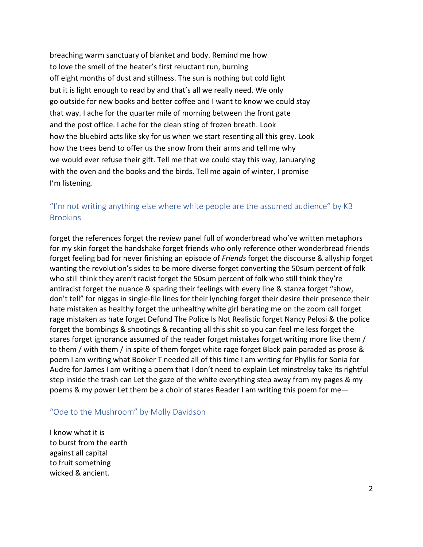breaching warm sanctuary of blanket and body. Remind me how to love the smell of the heater's first reluctant run, burning off eight months of dust and stillness. The sun is nothing but cold light but it is light enough to read by and that's all we really need. We only go outside for new books and better coffee and I want to know we could stay that way. I ache for the quarter mile of morning between the front gate and the post office. I ache for the clean sting of frozen breath. Look how the bluebird acts like sky for us when we start resenting all this grey. Look how the trees bend to offer us the snow from their arms and tell me why we would ever refuse their gift. Tell me that we could stay this way, Januarying with the oven and the books and the birds. Tell me again of winter, I promise I'm listening.

## "I'm not writing anything else where white people are the assumed audience" by KB **Brookins**

forget the references forget the review panel full of wonderbread who've written metaphors for my skin forget the handshake forget friends who only reference other wonderbread friends forget feeling bad for never finishing an episode of *Friends* forget the discourse & allyship forget wanting the revolution's sides to be more diverse forget converting the 50sum percent of folk who still think they aren't racist forget the 50sum percent of folk who still think they're antiracist forget the nuance & sparing their feelings with every line & stanza forget "show, don't tell" for niggas in single-file lines for their lynching forget their desire their presence their hate mistaken as healthy forget the unhealthy white girl berating me on the zoom call forget rage mistaken as hate forget Defund The Police Is Not Realistic forget Nancy Pelosi & the police forget the bombings & shootings & recanting all this shit so you can feel me less forget the stares forget ignorance assumed of the reader forget mistakes forget writing more like them / to them / with them / in spite of them forget white rage forget Black pain paraded as prose & poem I am writing what Booker T needed all of this time I am writing for Phyllis for Sonia for Audre for James I am writing a poem that I don't need to explain Let minstrelsy take its rightful step inside the trash can Let the gaze of the white everything step away from my pages & my poems & my power Let them be a choir of stares Reader I am writing this poem for me—

#### "Ode to the Mushroom" by Molly Davidson

I know what it is to burst from the earth against all capital to fruit something wicked & ancient.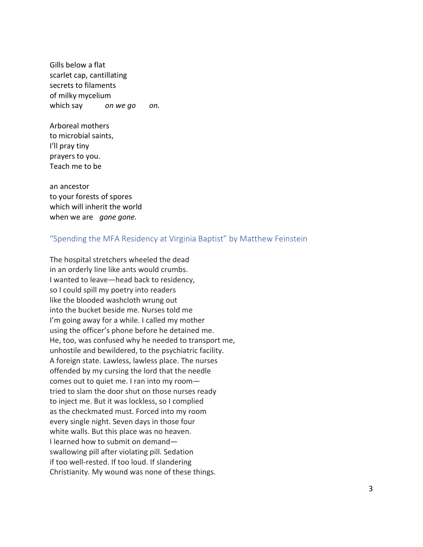Gills below a flat scarlet cap, cantillating secrets to filaments of milky mycelium which say *on we go on.*

Arboreal mothers to microbial saints, I'll pray tiny prayers to you. Teach me to be

an ancestor to your forests of spores which will inherit the world when we are *gone gone.*

#### "Spending the MFA Residency at Virginia Baptist" by Matthew Feinstein

The hospital stretchers wheeled the dead in an orderly line like ants would crumbs. I wanted to leave—head back to residency, so I could spill my poetry into readers like the blooded washcloth wrung out into the bucket beside me. Nurses told me I'm going away for a while. I called my mother using the officer's phone before he detained me. He, too, was confused why he needed to transport me, unhostile and bewildered, to the psychiatric facility. A foreign state. Lawless, lawless place. The nurses offended by my cursing the lord that the needle comes out to quiet me. I ran into my room tried to slam the door shut on those nurses ready to inject me. But it was lockless, so I complied as the checkmated must. Forced into my room every single night. Seven days in those four white walls. But this place was no heaven. I learned how to submit on demand swallowing pill after violating pill. Sedation if too well-rested. If too loud. If slandering Christianity. My wound was none of these things.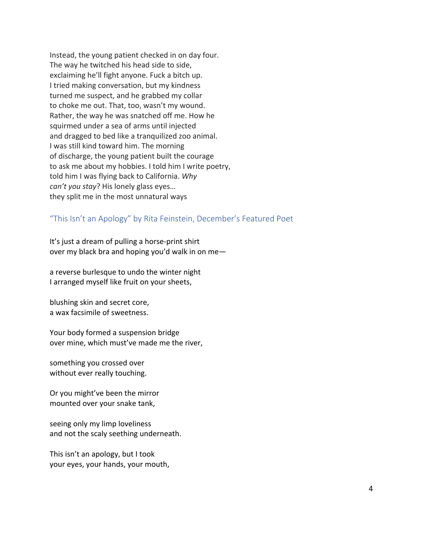Instead, the young patient checked in on day four. The way he twitched his head side to side, exclaiming he'll fight anyone. Fuck a bitch up. I tried making conversation, but my kindness turned me suspect, and he grabbed my collar to choke me out. That, too, wasn't my wound. Rather, the way he was snatched off me. How he squirmed under a sea of arms until injected and dragged to bed like a tranquilized zoo animal. I was still kind toward him. The morning of discharge, the young patient built the courage to ask me about my hobbies. I told him I write poetry, told him I was flying back to California. *Why can't you stay*? His lonely glass eyes… they split me in the most unnatural ways

#### "This Isn't an Apology" by Rita Feinstein, December's Featured Poet

It's just a dream of pulling a horse-print shirt over my black bra and hoping you'd walk in on me—

a reverse burlesque to undo the winter night I arranged myself like fruit on your sheets,

blushing skin and secret core, a wax facsimile of sweetness.

Your body formed a suspension bridge over mine, which must've made me the river,

something you crossed over without ever really touching.

Or you might've been the mirror mounted over your snake tank,

seeing only my limp loveliness and not the scaly seething underneath.

This isn't an apology, but I took your eyes, your hands, your mouth,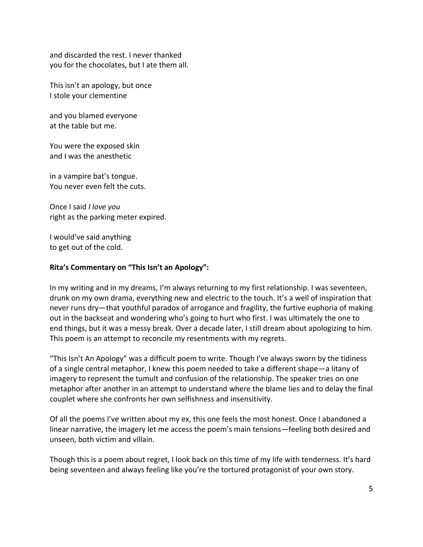and discarded the rest. I never thanked you for the chocolates, but I ate them all.

This isn't an apology, but once I stole your clementine

and you blamed everyone at the table but me.

You were the exposed skin and I was the anesthetic

in a vampire bat's tongue. You never even felt the cuts.

Once I said *I love you* right as the parking meter expired.

I would've said anything to get out of the cold.

#### **Rita's Commentary on "This Isn't an Apology":**

In my writing and in my dreams, I'm always returning to my first relationship. I was seventeen, drunk on my own drama, everything new and electric to the touch. It's a well of inspiration that never runs dry—that youthful paradox of arrogance and fragility, the furtive euphoria of making out in the backseat and wondering who's going to hurt who first. I was ultimately the one to end things, but it was a messy break. Over a decade later, I still dream about apologizing to him. This poem is an attempt to reconcile my resentments with my regrets.

"This Isn't An Apology" was a difficult poem to write. Though I've always sworn by the tidiness of a single central metaphor, I knew this poem needed to take a different shape—a litany of imagery to represent the tumult and confusion of the relationship. The speaker tries on one metaphor after another in an attempt to understand where the blame lies and to delay the final couplet where she confronts her own selfishness and insensitivity.

Of all the poems I've written about my ex, this one feels the most honest. Once I abandoned a linear narrative, the imagery let me access the poem's main tensions—feeling both desired and unseen, both victim and villain.

Though this is a poem about regret, I look back on this time of my life with tenderness. It's hard being seventeen and always feeling like you're the tortured protagonist of your own story.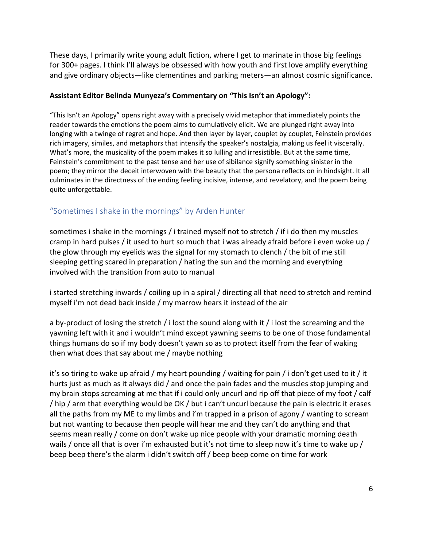These days, I primarily write young adult fiction, where I get to marinate in those big feelings for 300+ pages. I think I'll always be obsessed with how youth and first love amplify everything and give ordinary objects—like clementines and parking meters—an almost cosmic significance.

#### **Assistant Editor Belinda Munyeza's Commentary on "This Isn't an Apology":**

"This Isn't an Apology" opens right away with a precisely vivid metaphor that immediately points the reader towards the emotions the poem aims to cumulatively elicit. We are plunged right away into longing with a twinge of regret and hope. And then layer by layer, couplet by couplet, Feinstein provides rich imagery, similes, and metaphors that intensify the speaker's nostalgia, making us feel it viscerally. What's more, the musicality of the poem makes it so lulling and irresistible. But at the same time, Feinstein's commitment to the past tense and her use of sibilance signify something sinister in the poem; they mirror the deceit interwoven with the beauty that the persona reflects on in hindsight. It all culminates in the directness of the ending feeling incisive, intense, and revelatory, and the poem being quite unforgettable.

## "Sometimes I shake in the mornings" by Arden Hunter

sometimes i shake in the mornings / i trained myself not to stretch / if i do then my muscles cramp in hard pulses / it used to hurt so much that i was already afraid before i even woke up / the glow through my eyelids was the signal for my stomach to clench / the bit of me still sleeping getting scared in preparation / hating the sun and the morning and everything involved with the transition from auto to manual

i started stretching inwards / coiling up in a spiral / directing all that need to stretch and remind myself i'm not dead back inside / my marrow hears it instead of the air

a by-product of losing the stretch / i lost the sound along with it / i lost the screaming and the yawning left with it and i wouldn't mind except yawning seems to be one of those fundamental things humans do so if my body doesn't yawn so as to protect itself from the fear of waking then what does that say about me / maybe nothing

it's so tiring to wake up afraid / my heart pounding / waiting for pain / i don't get used to it / it hurts just as much as it always did / and once the pain fades and the muscles stop jumping and my brain stops screaming at me that if i could only uncurl and rip off that piece of my foot / calf / hip / arm that everything would be OK / but i can't uncurl because the pain is electric it erases all the paths from my ME to my limbs and i'm trapped in a prison of agony / wanting to scream but not wanting to because then people will hear me and they can't do anything and that seems mean really / come on don't wake up nice people with your dramatic morning death wails / once all that is over i'm exhausted but it's not time to sleep now it's time to wake up / beep beep there's the alarm i didn't switch off / beep beep come on time for work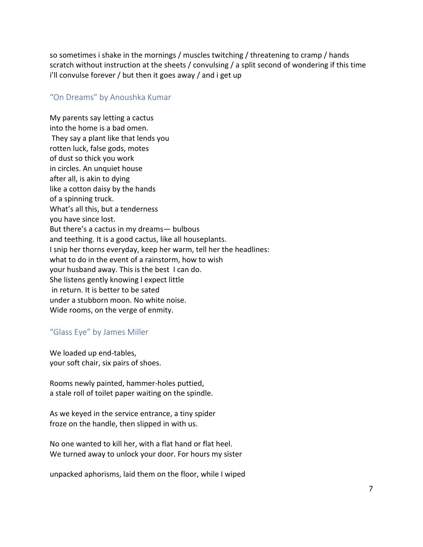so sometimes i shake in the mornings / muscles twitching / threatening to cramp / hands scratch without instruction at the sheets / convulsing / a split second of wondering if this time i'll convulse forever / but then it goes away / and i get up

#### "On Dreams" by Anoushka Kumar

My parents say letting a cactus into the home is a bad omen. They say a plant like that lends you rotten luck, false gods, motes of dust so thick you work in circles. An unquiet house after all, is akin to dying like a cotton daisy by the hands of a spinning truck. What's all this, but a tenderness you have since lost. But there's a cactus in my dreams— bulbous and teething. It is a good cactus, like all houseplants. I snip her thorns everyday, keep her warm, tell her the headlines: what to do in the event of a rainstorm, how to wish your husband away. This is the best I can do. She listens gently knowing I expect little in return. It is better to be sated under a stubborn moon. No white noise. Wide rooms, on the verge of enmity.

#### "Glass Eye" by James Miller

We loaded up end-tables, your soft chair, six pairs of shoes.

Rooms newly painted, hammer-holes puttied, a stale roll of toilet paper waiting on the spindle.

As we keyed in the service entrance, a tiny spider froze on the handle, then slipped in with us.

No one wanted to kill her, with a flat hand or flat heel. We turned away to unlock your door. For hours my sister

unpacked aphorisms, laid them on the floor, while I wiped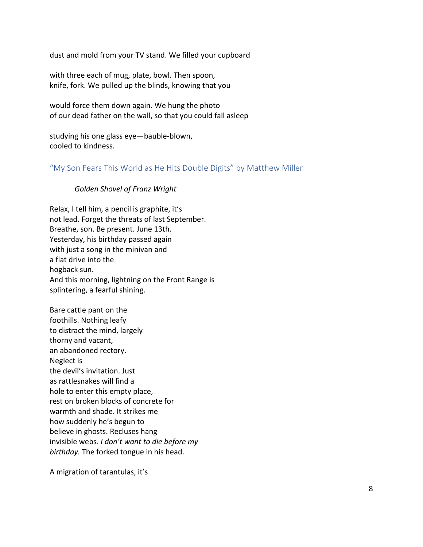dust and mold from your TV stand. We filled your cupboard

with three each of mug, plate, bowl. Then spoon, knife, fork. We pulled up the blinds, knowing that you

would force them down again. We hung the photo of our dead father on the wall, so that you could fall asleep

studying his one glass eye—bauble-blown, cooled to kindness.

"My Son Fears This World as He Hits Double Digits" by Matthew Miller

#### *Golden Shovel of Franz Wright*

Relax, I tell him, a pencil is graphite, it's not lead. Forget the threats of last September. Breathe, son. Be present. June 13th. Yesterday, his birthday passed again with just a song in the minivan and a flat drive into the hogback sun. And this morning, lightning on the Front Range is splintering, a fearful shining.

Bare cattle pant on the foothills. Nothing leafy to distract the mind, largely thorny and vacant, an abandoned rectory. Neglect is the devil's invitation. Just as rattlesnakes will find a hole to enter this empty place, rest on broken blocks of concrete for warmth and shade. It strikes me how suddenly he's begun to believe in ghosts. Recluses hang invisible webs. *I don't want to die before my birthday.* The forked tongue in his head.

A migration of tarantulas, it's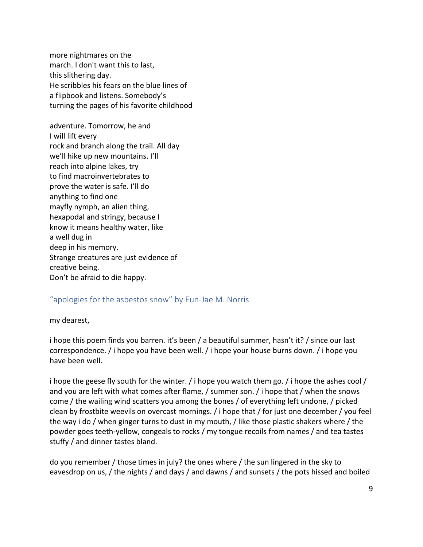more nightmares on the march. I don't want this to last, this slithering day. He scribbles his fears on the blue lines of a flipbook and listens. Somebody's turning the pages of his favorite childhood

adventure. Tomorrow, he and I will lift every rock and branch along the trail. All day we'll hike up new mountains. I'll reach into alpine lakes, try to find macroinvertebrates to prove the water is safe. I'll do anything to find one mayfly nymph, an alien thing, hexapodal and stringy, because I know it means healthy water, like a well dug in deep in his memory. Strange creatures are just evidence of creative being. Don't be afraid to die happy.

## "apologies for the asbestos snow" by Eun-Jae M. Norris

#### my dearest,

i hope this poem finds you barren. it's been / a beautiful summer, hasn't it? / since our last correspondence. / i hope you have been well. / i hope your house burns down. / i hope you have been well.

i hope the geese fly south for the winter.  $\ell$  i hope you watch them go.  $\ell$  i hope the ashes cool  $\ell$ and you are left with what comes after flame, / summer son. / i hope that / when the snows come / the wailing wind scatters you among the bones / of everything left undone, / picked clean by frostbite weevils on overcast mornings. / i hope that / for just one december / you feel the way i do / when ginger turns to dust in my mouth, / like those plastic shakers where / the powder goes teeth-yellow, congeals to rocks / my tongue recoils from names / and tea tastes stuffy / and dinner tastes bland.

do you remember / those times in july? the ones where / the sun lingered in the sky to eavesdrop on us, / the nights / and days / and dawns / and sunsets / the pots hissed and boiled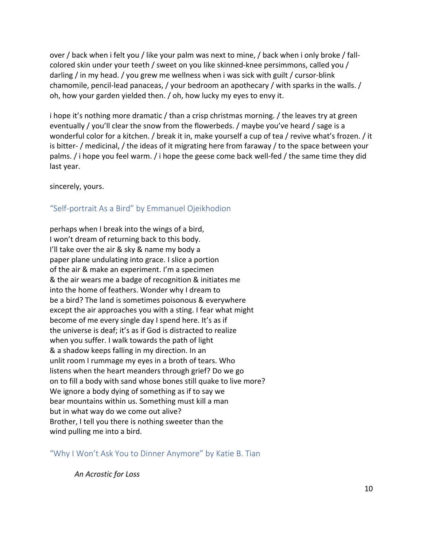over / back when i felt you / like your palm was next to mine, / back when i only broke / fallcolored skin under your teeth / sweet on you like skinned-knee persimmons, called you / darling / in my head. / you grew me wellness when i was sick with guilt / cursor-blink chamomile, pencil-lead panaceas, / your bedroom an apothecary / with sparks in the walls. / oh, how your garden yielded then. / oh, how lucky my eyes to envy it.

i hope it's nothing more dramatic / than a crisp christmas morning. / the leaves try at green eventually / you'll clear the snow from the flowerbeds. / maybe you've heard / sage is a wonderful color for a kitchen. / break it in, make yourself a cup of tea / revive what's frozen. / it is bitter- / medicinal, / the ideas of it migrating here from faraway / to the space between your palms. / i hope you feel warm. / i hope the geese come back well-fed / the same time they did last year.

sincerely, yours.

## "Self-portrait As a Bird" by Emmanuel Ojeikhodion

perhaps when I break into the wings of a bird, I won't dream of returning back to this body. I'll take over the air & sky & name my body a paper plane undulating into grace. I slice a portion of the air & make an experiment. I'm a specimen & the air wears me a badge of recognition & initiates me into the home of feathers. Wonder why I dream to be a bird? The land is sometimes poisonous & everywhere except the air approaches you with a sting. I fear what might become of me every single day I spend here. It's as if the universe is deaf; it's as if God is distracted to realize when you suffer. I walk towards the path of light & a shadow keeps falling in my direction. In an unlit room I rummage my eyes in a broth of tears. Who listens when the heart meanders through grief? Do we go on to fill a body with sand whose bones still quake to live more? We ignore a body dying of something as if to say we bear mountains within us. Something must kill a man but in what way do we come out alive? Brother, I tell you there is nothing sweeter than the wind pulling me into a bird.

"Why I Won't Ask You to Dinner Anymore" by Katie B. Tian

*An Acrostic for Loss*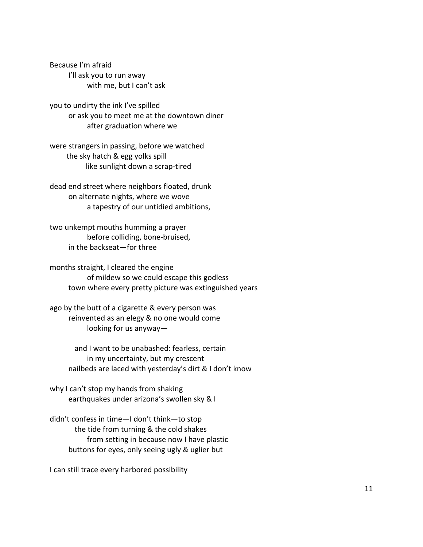Because I'm afraid I'll ask you to run away with me, but I can't ask

you to undirty the ink I've spilled or ask you to meet me at the downtown diner after graduation where we

were strangers in passing, before we watched the sky hatch & egg yolks spill like sunlight down a scrap-tired

dead end street where neighbors floated, drunk on alternate nights, where we wove a tapestry of our untidied ambitions,

two unkempt mouths humming a prayer before colliding, bone-bruised, in the backseat—for three

months straight, I cleared the engine of mildew so we could escape this godless town where every pretty picture was extinguished years

ago by the butt of a cigarette & every person was reinvented as an elegy & no one would come looking for us anyway—

> and I want to be unabashed: fearless, certain in my uncertainty, but my crescent nailbeds are laced with yesterday's dirt & I don't know

why I can't stop my hands from shaking earthquakes under arizona's swollen sky & I

didn't confess in time—I don't think—to stop the tide from turning & the cold shakes from setting in because now I have plastic buttons for eyes, only seeing ugly & uglier but

I can still trace every harbored possibility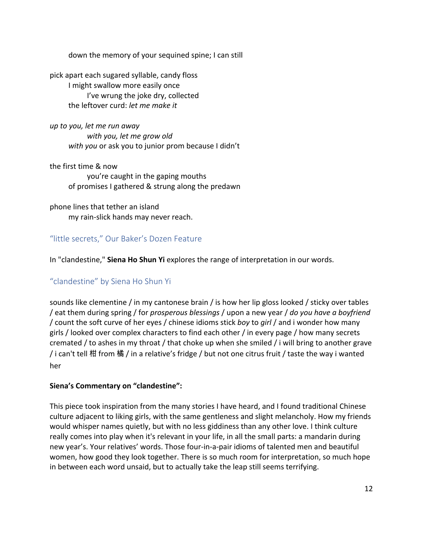down the memory of your sequined spine; I can still

pick apart each sugared syllable, candy floss I might swallow more easily once I've wrung the joke dry, collected the leftover curd: *let me make it*

*up to you, let me run away with you, let me grow old with you* or ask you to junior prom because I didn't

the first time & now you're caught in the gaping mouths of promises I gathered & strung along the predawn

phone lines that tether an island my rain-slick hands may never reach.

"little secrets," Our Baker's Dozen Feature

In "clandestine," **Siena Ho Shun Yi** explores the range of interpretation in our words.

## "clandestine" by Siena Ho Shun Yi

sounds like clementine / in my cantonese brain / is how her lip gloss looked / sticky over tables / eat them during spring / for *prosperous blessings* / upon a new year / *do you have a boyfriend* / count the soft curve of her eyes / chinese idioms stick *boy* to *girl* / and i wonder how many girls / looked over complex characters to find each other / in every page / how many secrets cremated / to ashes in my throat / that choke up when she smiled / i will bring to another grave / i can't tell 柑 from 橘 / in a relative's fridge / but not one citrus fruit / taste the way i wanted her

## **Siena's Commentary on "clandestine":**

This piece took inspiration from the many stories I have heard, and I found traditional Chinese culture adjacent to liking girls, with the same gentleness and slight melancholy. How my friends would whisper names quietly, but with no less giddiness than any other love. I think culture really comes into play when it's relevant in your life, in all the small parts: a mandarin during new year's. Your relatives' words. Those four-in-a-pair idioms of talented men and beautiful women, how good they look together. There is so much room for interpretation, so much hope in between each word unsaid, but to actually take the leap still seems terrifying.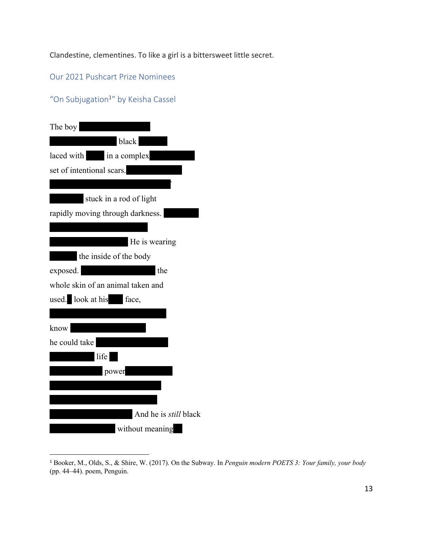Clandestine, clementines. To like a girl is a bittersweet little secret.

Our 2021 Pushcart Prize Nominees

## "On Subjugation<sup>1"</sup> by Keisha Cassel

| The boy                           |
|-----------------------------------|
| black                             |
| laced with in a complex           |
| set of intentional scars.         |
|                                   |
| stuck in a rod of light           |
| rapidly moving through darkness.  |
|                                   |
| He is wearing                     |
| the inside of the body            |
| exposed.<br>the                   |
| whole skin of an animal taken and |
| used. look at his face,           |
|                                   |
| know                              |
| he could take                     |
| life                              |
| power                             |
|                                   |
|                                   |
| And he is <i>still</i> black      |
| without meaning                   |

<sup>1</sup> Booker, M., Olds, S., & Shire, W. (2017). On the Subway. In *Penguin modern POETS 3: Your family, your body* (pp. 44–44). poem, Penguin.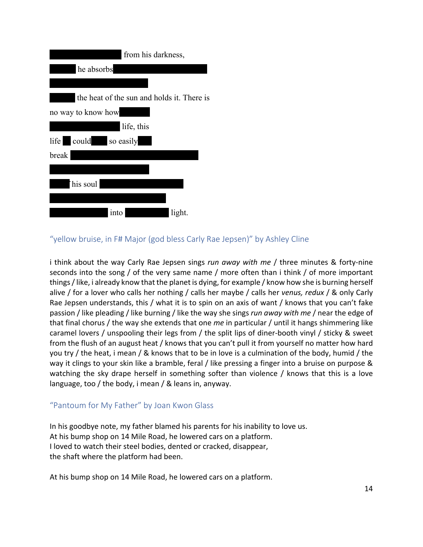| from his darkness,                         |
|--------------------------------------------|
| he absorbs                                 |
|                                            |
| the heat of the sun and holds it. There is |
| no way to know how                         |
| life, this                                 |
| life could so easily                       |
| break                                      |
|                                            |
| his soul                                   |
|                                            |
| light.<br>1nto                             |

## "yellow bruise, in F# Major (god bless Carly Rae Jepsen)" by Ashley Cline

i think about the way Carly Rae Jepsen sings *run away with me* / three minutes & forty-nine seconds into the song / of the very same name / more often than i think / of more important things/like, i already know that the planet is dying, for example / know how she is burning herself alive / for a lover who calls her nothing / calls her maybe / calls her *venus, redux* / & only Carly Rae Jepsen understands, this / what it is to spin on an axis of want / knows that you can't fake passion / like pleading / like burning / like the way she sings *run away with me* / near the edge of that final chorus / the way she extends that one *me* in particular / until it hangs shimmering like caramel lovers / unspooling their legs from / the split lips of diner-booth vinyl / sticky & sweet from the flush of an august heat / knows that you can't pull it from yourself no matter how hard you try / the heat, i mean / & knows that to be in love is a culmination of the body, humid / the way it clings to your skin like a bramble, feral / like pressing a finger into a bruise on purpose & watching the sky drape herself in something softer than violence / knows that this is a love language, too / the body, i mean / & leans in, anyway.

#### "Pantoum for My Father" by Joan Kwon Glass

In his goodbye note, my father blamed his parents for his inability to love us. At his bump shop on 14 Mile Road, he lowered cars on a platform. I loved to watch their steel bodies, dented or cracked, disappear, the shaft where the platform had been.

At his bump shop on 14 Mile Road, he lowered cars on a platform.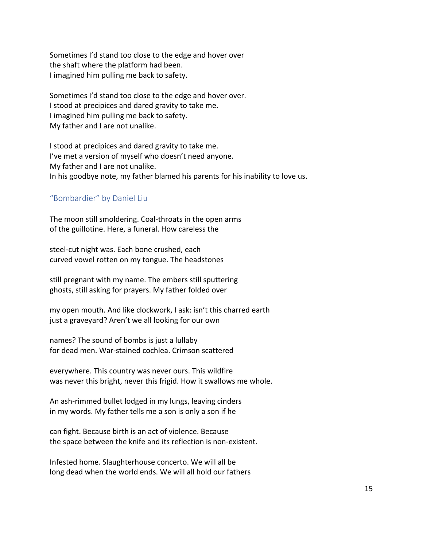Sometimes I'd stand too close to the edge and hover over the shaft where the platform had been. I imagined him pulling me back to safety.

Sometimes I'd stand too close to the edge and hover over. I stood at precipices and dared gravity to take me. I imagined him pulling me back to safety. My father and I are not unalike.

I stood at precipices and dared gravity to take me. I've met a version of myself who doesn't need anyone. My father and I are not unalike. In his goodbye note, my father blamed his parents for his inability to love us.

## "Bombardier" by Daniel Liu

The moon still smoldering. Coal-throats in the open arms of the guillotine. Here, a funeral. How careless the

steel-cut night was. Each bone crushed, each curved vowel rotten on my tongue. The headstones

still pregnant with my name. The embers still sputtering ghosts, still asking for prayers. My father folded over

my open mouth. And like clockwork, I ask: isn't this charred earth just a graveyard? Aren't we all looking for our own

names? The sound of bombs is just a lullaby for dead men. War-stained cochlea. Crimson scattered

everywhere. This country was never ours. This wildfire was never this bright, never this frigid. How it swallows me whole.

An ash-rimmed bullet lodged in my lungs, leaving cinders in my words. My father tells me a son is only a son if he

can fight. Because birth is an act of violence. Because the space between the knife and its reflection is non-existent.

Infested home. Slaughterhouse concerto. We will all be long dead when the world ends. We will all hold our fathers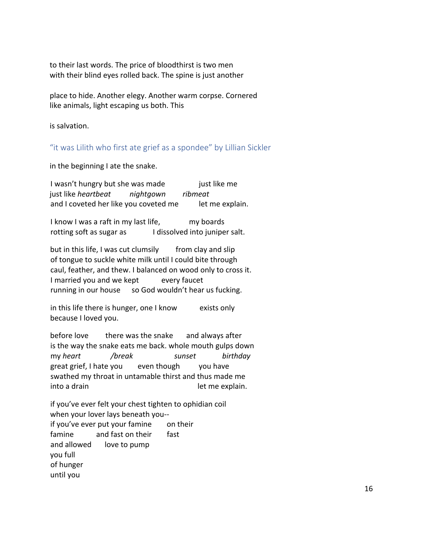to their last words. The price of bloodthirst is two men with their blind eyes rolled back. The spine is just another

place to hide. Another elegy. Another warm corpse. Cornered like animals, light escaping us both. This

is salvation.

"it was Lilith who first ate grief as a spondee" by Lillian Sickler

in the beginning I ate the snake.

I wasn't hungry but she was made just like me just like *heartbeat nightgown ribmeat*  and I coveted her like you coveted me let me explain.

I know I was a raft in my last life, my boards rotting soft as sugar as I dissolved into juniper salt.

but in this life, I was cut clumsily from clay and slip of tongue to suckle white milk until I could bite through caul, feather, and thew. I balanced on wood only to cross it. I married you and we kept every faucet running in our house so God wouldn't hear us fucking.

in this life there is hunger, one I know exists only because I loved you.

before love there was the snake and always after is the way the snake eats me back. whole mouth gulps down my *heart /break sunset birthday*  great grief, I hate you even though you have swathed my throat in untamable thirst and thus made me into a drain and the contract of the explain.

if you've ever felt your chest tighten to ophidian coil when your lover lays beneath you- if you've ever put your famine on their famine and fast on their fast and allowed love to pump you full of hunger until you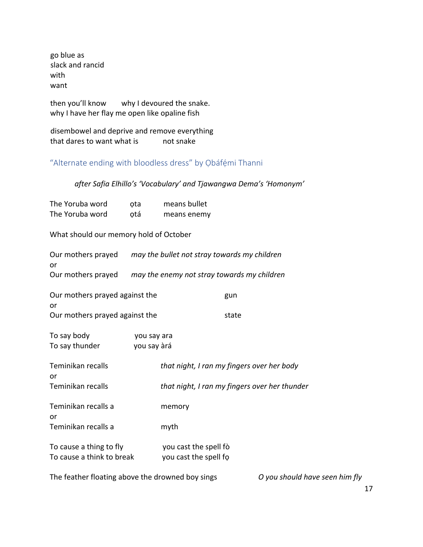go blue as slack and rancid with want

then you'll know why I devoured the snake. why I have her flay me open like opaline fish

disembowel and deprive and remove everything that dares to want what is mot snake

"Alternate ending with bloodless dress" by Ọbáfémi Thanni

*after Safia Elhillo's 'Vocabulary' and Tjawangwa Dema's 'Homonym'* 

| The Yoruba word | ota | means bullet |
|-----------------|-----|--------------|
| The Yoruba word | otá | means enemy  |

What should our memory hold of October

| or                                                   | Our mothers prayed may the bullet not stray towards my children |                                                |  |  |  |
|------------------------------------------------------|-----------------------------------------------------------------|------------------------------------------------|--|--|--|
|                                                      | Our mothers prayed may the enemy not stray towards my children  |                                                |  |  |  |
| Our mothers prayed against the<br>or                 |                                                                 | gun                                            |  |  |  |
| Our mothers prayed against the                       |                                                                 | state                                          |  |  |  |
| To say body                                          | you say ara                                                     |                                                |  |  |  |
| To say thunder                                       | you say àrá                                                     |                                                |  |  |  |
| Teminikan recalls<br>or                              |                                                                 | that night, I ran my fingers over her body     |  |  |  |
| Teminikan recalls                                    |                                                                 | that night, I ran my fingers over her thunder  |  |  |  |
| Teminikan recalls a<br>or                            |                                                                 | memory                                         |  |  |  |
| Teminikan recalls a                                  |                                                                 | myth                                           |  |  |  |
| To cause a thing to fly<br>To cause a think to break |                                                                 | you cast the spell fò<br>you cast the spell fo |  |  |  |
|                                                      |                                                                 |                                                |  |  |  |

The feather floating above the drowned boy sings *O you should have seen him fly*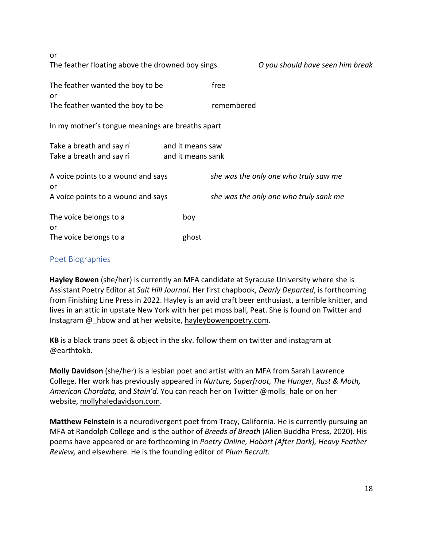| or                                                   |                                       |            |                                        |  |  |  |
|------------------------------------------------------|---------------------------------------|------------|----------------------------------------|--|--|--|
| The feather floating above the drowned boy sings     |                                       |            | O you should have seen him break       |  |  |  |
| The feather wanted the boy to be<br>or               |                                       | free       |                                        |  |  |  |
| The feather wanted the boy to be                     |                                       | remembered |                                        |  |  |  |
| In my mother's tongue meanings are breaths apart     |                                       |            |                                        |  |  |  |
| Take a breath and say rí<br>Take a breath and say ri | and it means saw<br>and it means sank |            |                                        |  |  |  |
| A voice points to a wound and says<br>or             |                                       |            | she was the only one who truly saw me  |  |  |  |
| A voice points to a wound and says                   |                                       |            | she was the only one who truly sank me |  |  |  |
| The voice belongs to a<br>or                         | boy                                   |            |                                        |  |  |  |
| The voice belongs to a                               | ghost                                 |            |                                        |  |  |  |

#### Poet Biographies

**Hayley Bowen** (she/her) is currently an MFA candidate at Syracuse University where she is Assistant Poetry Editor at *Salt Hill Journal*. Her first chapbook, *Dearly Departed*, is forthcoming from Finishing Line Press in 2022. Hayley is an avid craft beer enthusiast, a terrible knitter, and lives in an attic in upstate New York with her pet moss ball, Peat. She is found on Twitter and Instagram @\_hbow and at her website, hayleybowenpoetry.com.

**KB** is a black trans poet & object in the sky. follow them on twitter and instagram at @earthtokb.

**Molly Davidson** (she/her) is a lesbian poet and artist with an MFA from Sarah Lawrence College. Her work has previously appeared in *Nurture, Superfroot, The Hunger, Rust & Moth, American Chordata,* and *Stain'd.* You can reach her on Twitter @molls\_hale or on her website, mollyhaledavidson.com.

**Matthew Feinstein** is a neurodivergent poet from Tracy, California. He is currently pursuing an MFA at Randolph College and is the author of *Breeds of Breath* (Alien Buddha Press, 2020). His poems have appeared or are forthcoming in *Poetry Online, Hobart (After Dark), Heavy Feather Review,* and elsewhere. He is the founding editor of *Plum Recruit.*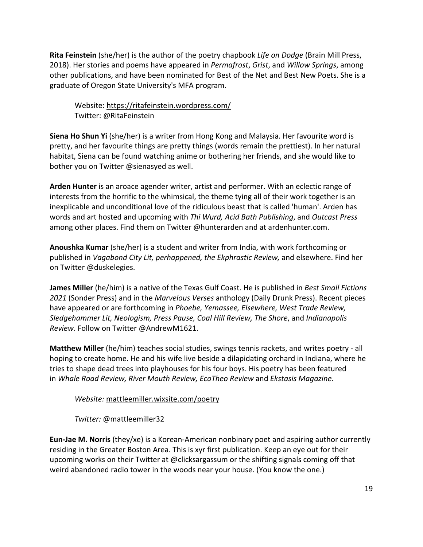**Rita Feinstein** (she/her) is the author of the poetry chapbook *Life on Dodge* (Brain Mill Press, 2018). Her stories and poems have appeared in *Permafrost*, *Grist*, and *Willow Springs*, among other publications, and have been nominated for Best of the Net and Best New Poets. She is a graduate of Oregon State University's MFA program.

Website: https://ritafeinstein.wordpress.com/ Twitter: @RitaFeinstein

**Siena Ho Shun Yi** (she/her) is a writer from Hong Kong and Malaysia. Her favourite word is pretty, and her favourite things are pretty things (words remain the prettiest). In her natural habitat, Siena can be found watching anime or bothering her friends, and she would like to bother you on Twitter @sienasyed as well.

**Arden Hunter** is an aroace agender writer, artist and performer. With an eclectic range of interests from the horrific to the whimsical, the theme tying all of their work together is an inexplicable and unconditional love of the ridiculous beast that is called 'human'. Arden has words and art hosted and upcoming with *Thi Wurd, Acid Bath Publishing*, and *Outcast Press* among other places. Find them on Twitter @hunterarden and at ardenhunter.com.

**Anoushka Kumar** (she/her) is a student and writer from India, with work forthcoming or published in *Vagabond City Lit, perhappened, the Ekphrastic Review,* and elsewhere. Find her on Twitter @duskelegies.

**James Miller** (he/him) is a native of the Texas Gulf Coast. He is published in *Best Small Fictions 2021* (Sonder Press) and in the *Marvelous Verses* anthology (Daily Drunk Press). Recent pieces have appeared or are forthcoming in *Phoebe, Yemassee, Elsewhere, West Trade Review, Sledgehammer Lit, Neologism, Press Pause, Coal Hill Review, The Shore*, and *Indianapolis Review*. Follow on Twitter @AndrewM1621.

**Matthew Miller** (he/him) teaches social studies, swings tennis rackets, and writes poetry - all hoping to create home. He and his wife live beside a dilapidating orchard in Indiana, where he tries to shape dead trees into playhouses for his four boys. His poetry has been featured in *Whale Road Review, River Mouth Review, EcoTheo Review* and *Ekstasis Magazine.*

*Website:* mattleemiller.wixsite.com/poetry

*Twitter:* @mattleemiller32

**Eun-Jae M. Norris** (they/xe) is a Korean-American nonbinary poet and aspiring author currently residing in the Greater Boston Area. This is xyr first publication. Keep an eye out for their upcoming works on their Twitter at @clicksargassum or the shifting signals coming off that weird abandoned radio tower in the woods near your house. (You know the one.)